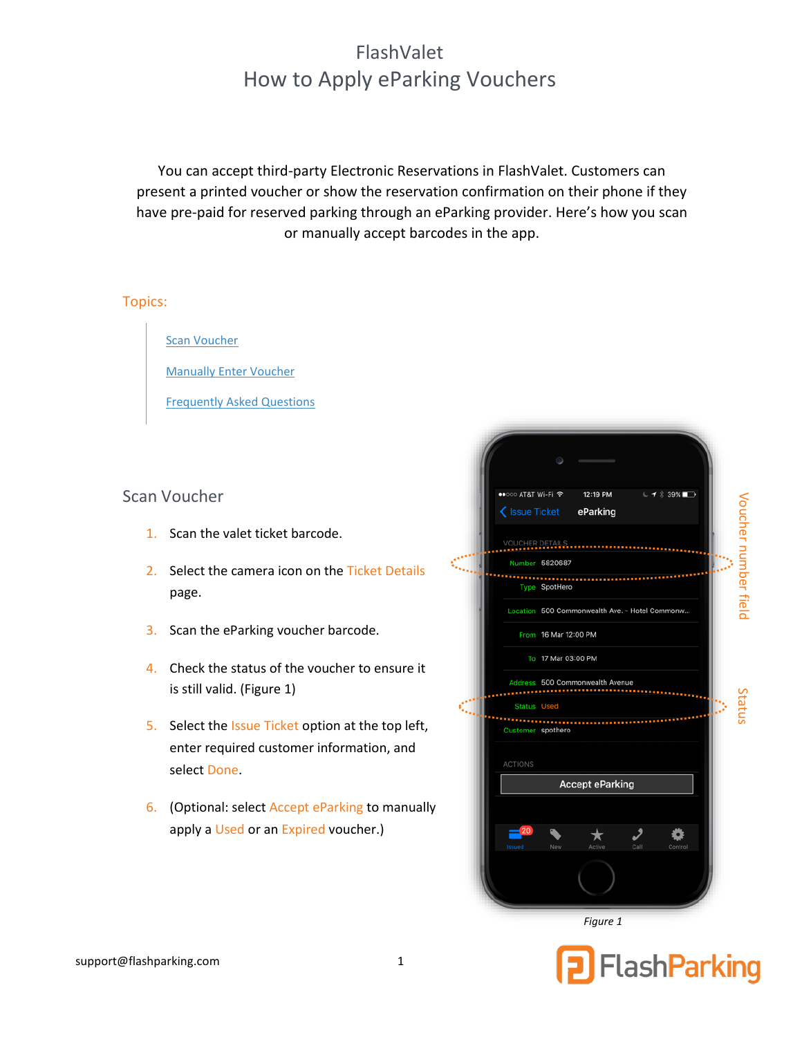# FlashValet How to Apply eParking Vouchers

You can accept third-party Electronic Reservations in FlashValet. Customers can present a printed voucher or show the reservation confirmation on their phone if they have pre-paid for reserved parking through an eParking provider. Here's how you scan or manually accept barcodes in the app.

#### Topics:

[Scan Voucher](#page-0-0)

[Manually Enter Voucher](#page-0-1)

[Frequently Asked Questions](#page-2-0)

## <span id="page-0-0"></span>Scan Voucher

- 1. Scan the valet ticket barcode.
- 2. Select the camera icon on the Ticket Details page.
- 3. Scan the eParking voucher barcode.
- 4. Check the status of the voucher to ensure it is still valid. [\(Figure 1\)](#page-0-2)
- 5. Select the Issue Ticket option at the top left, enter required customer information, and select Done.
- 6. (Optional: select Accept eParking to manually apply a Used or an Expired voucher.)



<span id="page-0-2"></span><span id="page-0-1"></span>FlashParking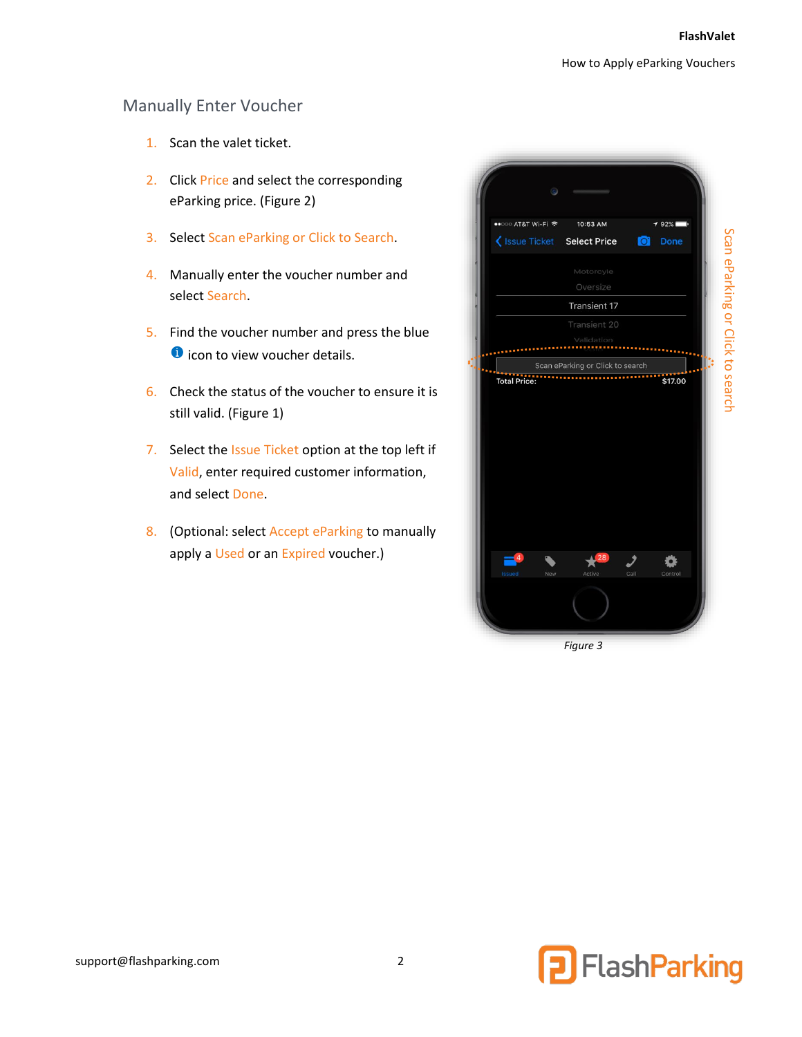## Manually Enter Voucher

- 1. Scan the valet ticket.
- 2. Click Price and select the corresponding eParking price. [\(Figure 2\)](#page-1-0)
- 3. Select Scan eParking or Click to Search.
- 4. Manually enter the voucher number and select Search.
- 5. Find the voucher number and press the blue **O** icon to view voucher details.
- 6. Check the status of the voucher to ensure it is still valid. [\(Figure 1\)](#page-0-2)
- 7. Select the Issue Ticket option at the top left if Valid, enter required customer information, and select Done.
- 8. (Optional: select Accept eParking to manually apply a Used or an Expired voucher.)

| ••○○○ AT&T Wi-Fi 〒              | 10:53 AM                         |      |                |
|---------------------------------|----------------------------------|------|----------------|
| < Issue Ticket                  | <b>Select Price</b>              | Ō    | $92\%$<br>Done |
|                                 |                                  |      |                |
|                                 | Motorcyle<br>Oversize            |      |                |
|                                 | <b>Transient 17</b>              |      |                |
|                                 | Transient 20                     |      |                |
|                                 | Validation                       |      |                |
|                                 | Scan eParking or Click to search |      |                |
|                                 |                                  |      |                |
| Total Price:                    | ,,,,,,,,,,,,,,,,,,,,,,,,,,,,,,   |      | \$17.00        |
|                                 |                                  |      |                |
|                                 |                                  |      |                |
|                                 |                                  |      |                |
|                                 |                                  |      |                |
|                                 |                                  |      |                |
|                                 |                                  |      |                |
|                                 |                                  |      |                |
|                                 |                                  |      |                |
| $\overline{4}$<br>Issued<br>New | $\sqrt{28}$<br>⊼<br>Active       | Call | Control        |

<span id="page-1-0"></span>*Figure 3*